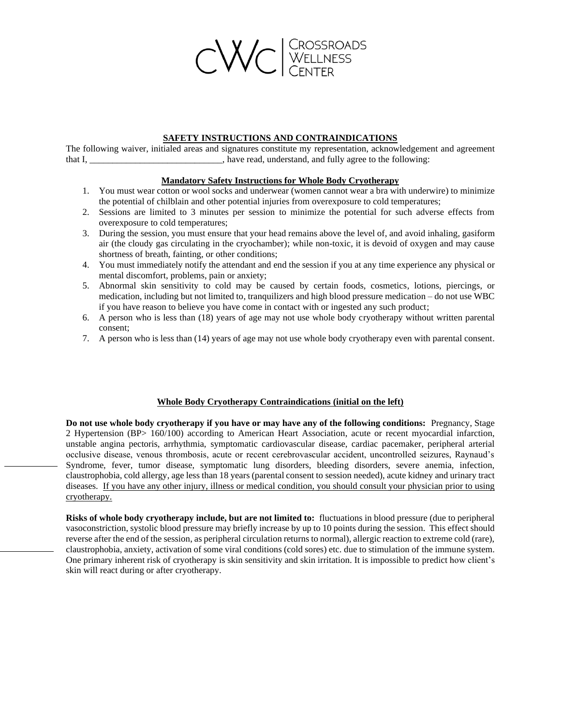

## **SAFETY INSTRUCTIONS AND CONTRAINDICATIONS**

The following waiver, initialed areas and signatures constitute my representation, acknowledgement and agreement that I, have read, understand, and fully agree to the following:

## **Mandatory Safety Instructions for Whole Body Cryotherapy**

- 1. You must wear cotton or wool socks and underwear (women cannot wear a bra with underwire) to minimize the potential of chilblain and other potential injuries from overexposure to cold temperatures;
- 2. Sessions are limited to 3 minutes per session to minimize the potential for such adverse effects from overexposure to cold temperatures;
- 3. During the session, you must ensure that your head remains above the level of, and avoid inhaling, gasiform air (the cloudy gas circulating in the cryochamber); while non-toxic, it is devoid of oxygen and may cause shortness of breath, fainting, or other conditions;
- 4. You must immediately notify the attendant and end the session if you at any time experience any physical or mental discomfort, problems, pain or anxiety;
- 5. Abnormal skin sensitivity to cold may be caused by certain foods, cosmetics, lotions, piercings, or medication, including but not limited to, tranquilizers and high blood pressure medication – do not use WBC if you have reason to believe you have come in contact with or ingested any such product;
- 6. A person who is less than (18) years of age may not use whole body cryotherapy without written parental consent;
- 7. A person who is less than (14) years of age may not use whole body cryotherapy even with parental consent.

## **Whole Body Cryotherapy Contraindications (initial on the left)**

**Do not use whole body cryotherapy if you have or may have any of the following conditions:** Pregnancy, Stage 2 Hypertension (BP> 160/100) according to American Heart Association, acute or recent myocardial infarction, unstable angina pectoris, arrhythmia, symptomatic cardiovascular disease, cardiac pacemaker, peripheral arterial occlusive disease, venous thrombosis, acute or recent cerebrovascular accident, uncontrolled seizures, Raynaud's Syndrome, fever, tumor disease, symptomatic lung disorders, bleeding disorders, severe anemia, infection, claustrophobia, cold allergy, age less than 18 years (parental consent to session needed), acute kidney and urinary tract diseases. If you have any other injury, illness or medical condition, you should consult your physician prior to using cryotherapy.

**Risks of whole body cryotherapy include, but are not limited to:** fluctuations in blood pressure (due to peripheral vasoconstriction, systolic blood pressure may briefly increase by up to 10 points during the session. This effect should reverse after the end of the session, as peripheral circulation returns to normal), allergic reaction to extreme cold (rare), claustrophobia, anxiety, activation of some viral conditions (cold sores) etc. due to stimulation of the immune system. One primary inherent risk of cryotherapy is skin sensitivity and skin irritation. It is impossible to predict how client's skin will react during or after cryotherapy.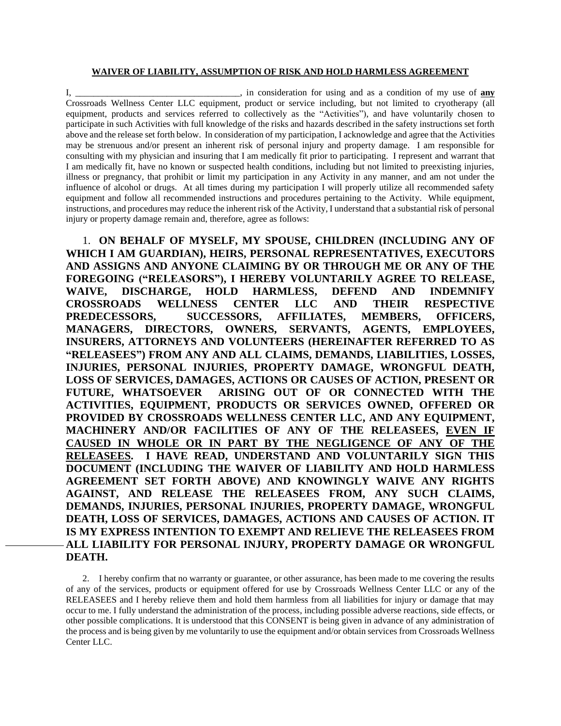## **WAIVER OF LIABILITY, ASSUMPTION OF RISK AND HOLD HARMLESS AGREEMENT**

I, \_\_\_\_\_\_\_\_\_\_\_\_\_\_\_\_\_\_\_\_\_\_\_\_\_\_\_\_\_\_\_\_\_\_\_\_, in consideration for using and as a condition of my use of **any** Crossroads Wellness Center LLC equipment, product or service including, but not limited to cryotherapy (all equipment, products and services referred to collectively as the "Activities"), and have voluntarily chosen to participate in such Activities with full knowledge of the risks and hazards described in the safety instructions set forth above and the release set forth below. In consideration of my participation, I acknowledge and agree that the Activities may be strenuous and/or present an inherent risk of personal injury and property damage. I am responsible for consulting with my physician and insuring that I am medically fit prior to participating. I represent and warrant that I am medically fit, have no known or suspected health conditions, including but not limited to preexisting injuries, illness or pregnancy, that prohibit or limit my participation in any Activity in any manner, and am not under the influence of alcohol or drugs. At all times during my participation I will properly utilize all recommended safety equipment and follow all recommended instructions and procedures pertaining to the Activity. While equipment, instructions, and procedures may reduce the inherent risk of the Activity, I understand that a substantial risk of personal injury or property damage remain and, therefore, agree as follows:

1. **ON BEHALF OF MYSELF, MY SPOUSE, CHILDREN (INCLUDING ANY OF WHICH I AM GUARDIAN), HEIRS, PERSONAL REPRESENTATIVES, EXECUTORS AND ASSIGNS AND ANYONE CLAIMING BY OR THROUGH ME OR ANY OF THE FOREGOING ("RELEASORS"), I HEREBY VOLUNTARILY AGREE TO RELEASE, WAIVE, DISCHARGE, HOLD HARMLESS, DEFEND AND INDEMNIFY CROSSROADS WELLNESS CENTER LLC AND THEIR RESPECTIVE PREDECESSORS, SUCCESSORS, AFFILIATES, MEMBERS, OFFICERS, MANAGERS, DIRECTORS, OWNERS, SERVANTS, AGENTS, EMPLOYEES, INSURERS, ATTORNEYS AND VOLUNTEERS (HEREINAFTER REFERRED TO AS "RELEASEES") FROM ANY AND ALL CLAIMS, DEMANDS, LIABILITIES, LOSSES, INJURIES, PERSONAL INJURIES, PROPERTY DAMAGE, WRONGFUL DEATH, LOSS OF SERVICES, DAMAGES, ACTIONS OR CAUSES OF ACTION, PRESENT OR FUTURE, WHATSOEVER ARISING OUT OF OR CONNECTED WITH THE ACTIVITIES, EQUIPMENT, PRODUCTS OR SERVICES OWNED, OFFERED OR PROVIDED BY CROSSROADS WELLNESS CENTER LLC, AND ANY EQUIPMENT, MACHINERY AND/OR FACILITIES OF ANY OF THE RELEASEES, EVEN IF CAUSED IN WHOLE OR IN PART BY THE NEGLIGENCE OF ANY OF THE RELEASEES. I HAVE READ, UNDERSTAND AND VOLUNTARILY SIGN THIS DOCUMENT (INCLUDING THE WAIVER OF LIABILITY AND HOLD HARMLESS AGREEMENT SET FORTH ABOVE) AND KNOWINGLY WAIVE ANY RIGHTS AGAINST, AND RELEASE THE RELEASEES FROM, ANY SUCH CLAIMS, DEMANDS, INJURIES, PERSONAL INJURIES, PROPERTY DAMAGE, WRONGFUL DEATH, LOSS OF SERVICES, DAMAGES, ACTIONS AND CAUSES OF ACTION. IT IS MY EXPRESS INTENTION TO EXEMPT AND RELIEVE THE RELEASEES FROM ALL LIABILITY FOR PERSONAL INJURY, PROPERTY DAMAGE OR WRONGFUL DEATH.**

2. I hereby confirm that no warranty or guarantee, or other assurance, has been made to me covering the results of any of the services, products or equipment offered for use by Crossroads Wellness Center LLC or any of the RELEASEES and I hereby relieve them and hold them harmless from all liabilities for injury or damage that may occur to me. I fully understand the administration of the process, including possible adverse reactions, side effects, or other possible complications. It is understood that this CONSENT is being given in advance of any administration of the process and is being given by me voluntarily to use the equipment and/or obtain services from Crossroads Wellness Center LLC.